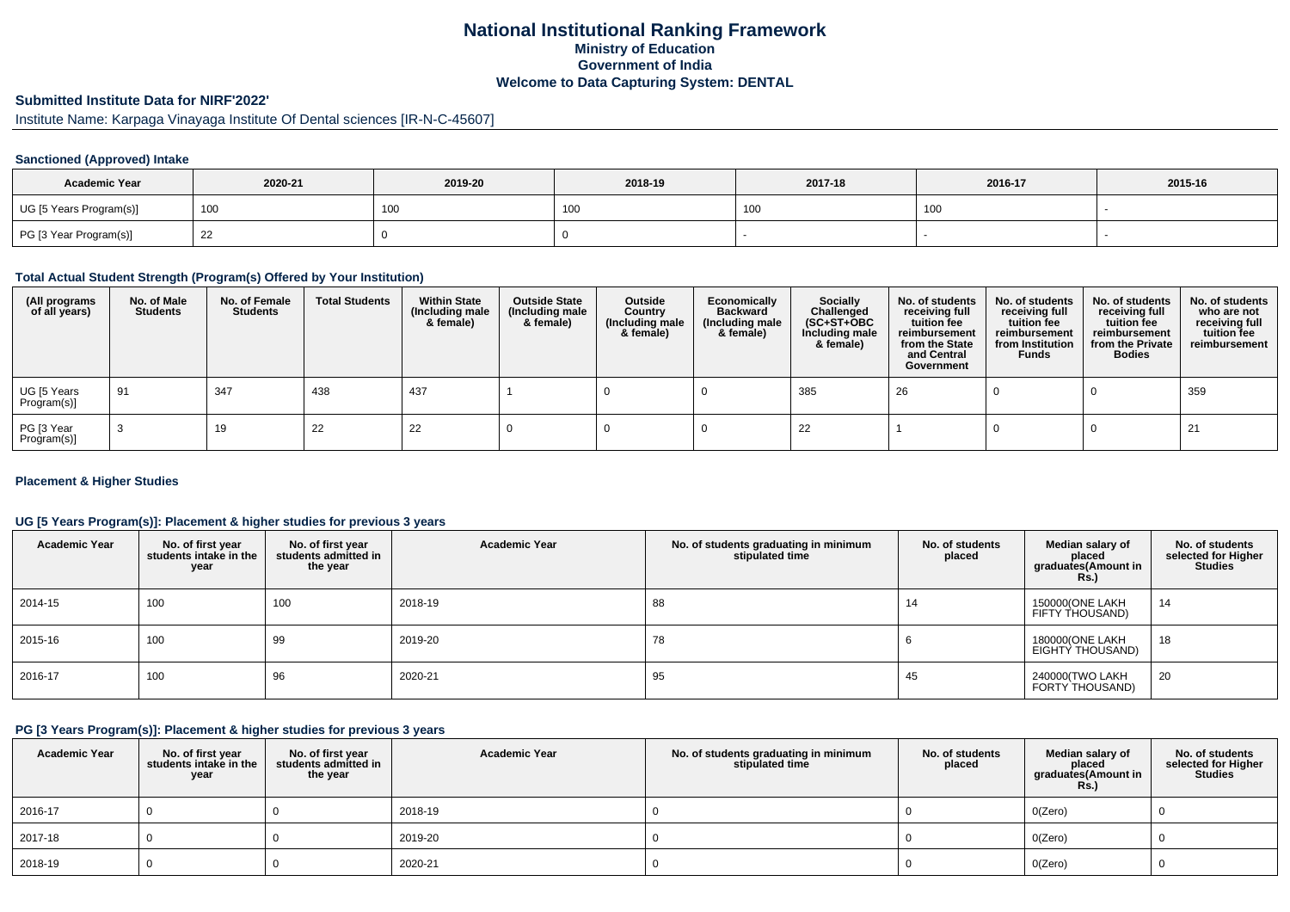# **National Institutional Ranking FrameworkMinistry of Education Government of IndiaWelcome to Data Capturing System: DENTAL**

# **Submitted Institute Data for NIRF'2022'**

Institute Name: Karpaga Vinayaga Institute Of Dental sciences [IR-N-C-45607]

#### **Sanctioned (Approved) Intake**

| <b>Academic Year</b>    | 2020-21 | 2019-20 | 2018-19 | 2017-18<br>2016-17 |     | 2015-16 |
|-------------------------|---------|---------|---------|--------------------|-----|---------|
| UG [5 Years Program(s)] | 100     | 100     | าบน     | 10 <sub>C</sub>    | 100 |         |
| PG [3 Year Program(s)]  | 22      |         |         |                    |     |         |

## **Total Actual Student Strength (Program(s) Offered by Your Institution)**

| (All programs<br>of all years) | No. of Male<br><b>Students</b> | No. of Female<br>Students | <b>Total Students</b> | <b>Within State</b><br>(Including male<br>& female) | <b>Outside State</b><br>(Including male<br>& female) | Outside<br>Country<br>(Including male<br>& female) | Economically<br><b>Backward</b><br>(Including male<br>& female) | <b>Socially</b><br>Challenged<br>$(SC+ST+OBC)$<br>Including male<br>& female) | No. of students<br>receiving full<br>tuition fee<br>reimbursement<br>from the State<br>and Central<br>Government | No. of students<br>receiving full<br>tuition fee<br>reimbursement<br>from Institution<br><b>Funds</b> | No. of students<br>receiving full<br>tuition fee<br>reimbursement<br>from the Private<br><b>Bodies</b> | No. of students<br>who are not<br>receiving full<br>tuition fee<br>reimbursement |
|--------------------------------|--------------------------------|---------------------------|-----------------------|-----------------------------------------------------|------------------------------------------------------|----------------------------------------------------|-----------------------------------------------------------------|-------------------------------------------------------------------------------|------------------------------------------------------------------------------------------------------------------|-------------------------------------------------------------------------------------------------------|--------------------------------------------------------------------------------------------------------|----------------------------------------------------------------------------------|
| UG [5 Years<br>Program(s)]     | 91                             | 347                       | 438                   | 437                                                 |                                                      |                                                    |                                                                 | 385                                                                           | 26                                                                                                               |                                                                                                       |                                                                                                        | 359                                                                              |
| PG [3 Year<br>Program(s)]      |                                | 19                        | 22                    | 22                                                  |                                                      |                                                    |                                                                 | 22                                                                            |                                                                                                                  |                                                                                                       |                                                                                                        | 21                                                                               |

#### **Placement & Higher Studies**

#### **UG [5 Years Program(s)]: Placement & higher studies for previous 3 years**

| <b>Academic Year</b> | No. of first year<br>students intake in the<br>year | No. of first year<br>students admitted in<br>the year | <b>Academic Year</b> | No. of students graduating in minimum<br>stipulated time | No. of students<br>placed | Median salary of<br>placed<br>graduates(Amount in<br><b>Rs.)</b> | No. of students<br>selected for Higher<br><b>Studies</b> |
|----------------------|-----------------------------------------------------|-------------------------------------------------------|----------------------|----------------------------------------------------------|---------------------------|------------------------------------------------------------------|----------------------------------------------------------|
| 2014-15              | 100                                                 | 100                                                   | 2018-19              | 88                                                       | 14                        | 150000(ONE LAKH<br>FIFTY THOUSAND)                               | 14                                                       |
| 2015-16              | 100                                                 | 99                                                    | 2019-20              | 78                                                       |                           | 180000(ONE LAKH<br>EIGHTY THOUSAND)                              | 18                                                       |
| 2016-17              | 100                                                 | 96                                                    | 2020-21              | 95                                                       | 45                        | 240000(TWO LAKH<br>FORTY THOUSAND)                               | 20                                                       |

#### **PG [3 Years Program(s)]: Placement & higher studies for previous 3 years**

| <b>Academic Year</b> | No. of first year<br>students intake in the<br>year | No. of first year<br>students admitted in<br>the year | <b>Academic Year</b> | No. of students graduating in minimum<br>stipulated time | No. of students<br>placed | Median salary of<br>placed<br>graduates(Amount in<br><b>Rs.)</b> | No. of students<br>selected for Higher<br><b>Studies</b> |
|----------------------|-----------------------------------------------------|-------------------------------------------------------|----------------------|----------------------------------------------------------|---------------------------|------------------------------------------------------------------|----------------------------------------------------------|
| 2016-17              |                                                     |                                                       | 2018-19              |                                                          |                           | O(Zero)                                                          |                                                          |
| 2017-18              |                                                     |                                                       | 2019-20              |                                                          |                           | O(Zero)                                                          |                                                          |
| 2018-19              |                                                     |                                                       | 2020-21              |                                                          |                           | O(Zero)                                                          |                                                          |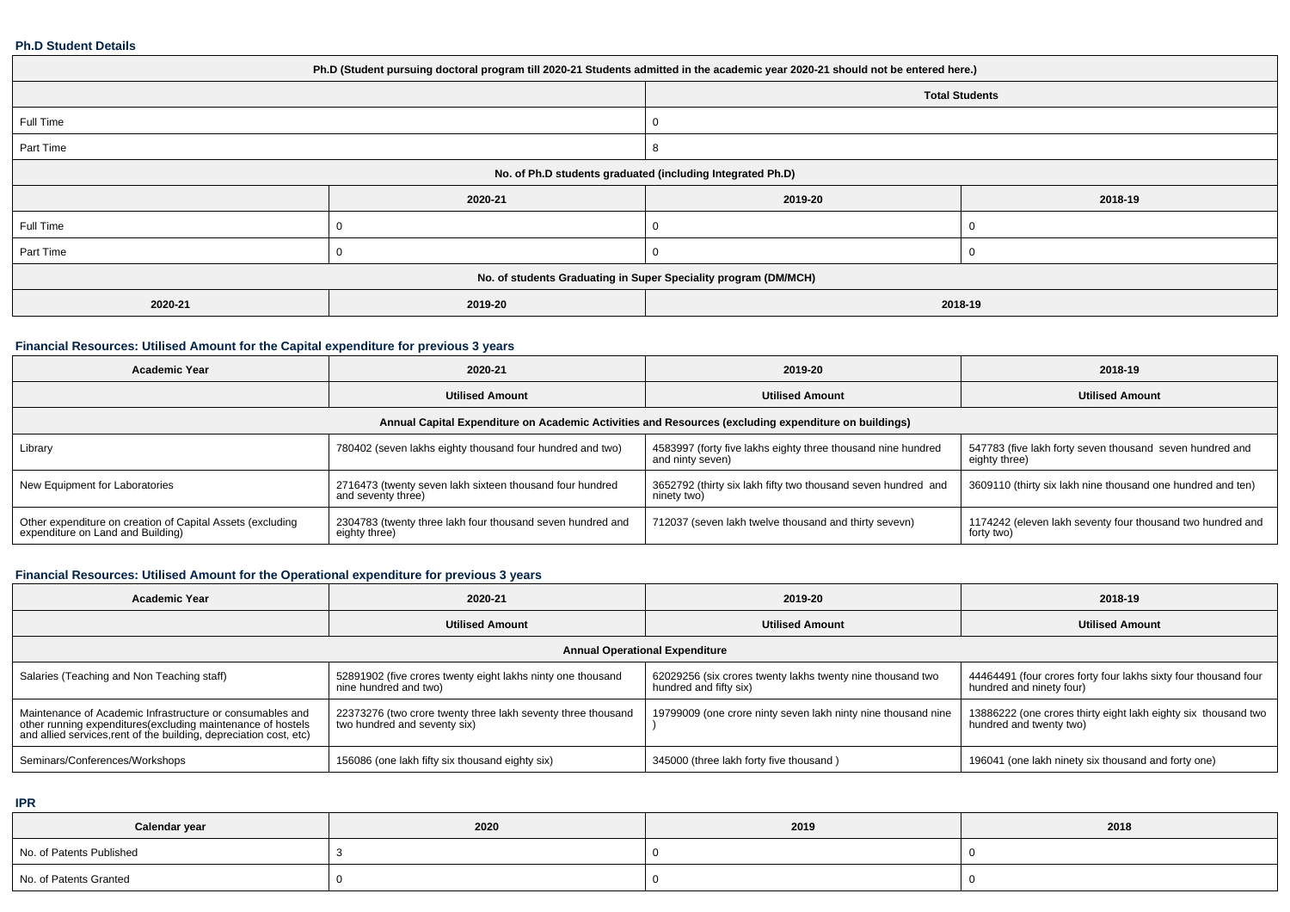#### **Ph.D Student Details**

| Ph.D (Student pursuing doctoral program till 2020-21 Students admitted in the academic year 2020-21 should not be entered here.) |                                                                 |         |         |  |  |  |  |
|----------------------------------------------------------------------------------------------------------------------------------|-----------------------------------------------------------------|---------|---------|--|--|--|--|
| <b>Total Students</b>                                                                                                            |                                                                 |         |         |  |  |  |  |
| Full Time                                                                                                                        |                                                                 |         |         |  |  |  |  |
| Part Time                                                                                                                        |                                                                 |         |         |  |  |  |  |
| No. of Ph.D students graduated (including Integrated Ph.D)                                                                       |                                                                 |         |         |  |  |  |  |
|                                                                                                                                  | 2020-21                                                         | 2019-20 | 2018-19 |  |  |  |  |
| Full Time                                                                                                                        |                                                                 |         |         |  |  |  |  |
| Part Time                                                                                                                        |                                                                 |         |         |  |  |  |  |
|                                                                                                                                  | No. of students Graduating in Super Speciality program (DM/MCH) |         |         |  |  |  |  |
| 2020-21                                                                                                                          | 2019-20                                                         | 2018-19 |         |  |  |  |  |

### **Financial Resources: Utilised Amount for the Capital expenditure for previous 3 years**

| <b>Academic Year</b>                                                                                 | 2020-21                                                                        | 2019-20                                                                          | 2018-19                                                                   |  |  |  |  |  |
|------------------------------------------------------------------------------------------------------|--------------------------------------------------------------------------------|----------------------------------------------------------------------------------|---------------------------------------------------------------------------|--|--|--|--|--|
|                                                                                                      | <b>Utilised Amount</b>                                                         | <b>Utilised Amount</b>                                                           | <b>Utilised Amount</b>                                                    |  |  |  |  |  |
| Annual Capital Expenditure on Academic Activities and Resources (excluding expenditure on buildings) |                                                                                |                                                                                  |                                                                           |  |  |  |  |  |
| Library                                                                                              | 780402 (seven lakhs eighty thousand four hundred and two)                      | 4583997 (forty five lakhs eighty three thousand nine hundred<br>and ninty seven) | 547783 (five lakh forty seven thousand seven hundred and<br>eighty three) |  |  |  |  |  |
| New Equipment for Laboratories                                                                       | 2716473 (twenty seven lakh sixteen thousand four hundred<br>and seventy three) | 3652792 (thirty six lakh fifty two thousand seven hundred and<br>ninety two)     | 3609110 (thirty six lakh nine thousand one hundred and ten)               |  |  |  |  |  |
| Other expenditure on creation of Capital Assets (excluding<br>expenditure on Land and Building)      | 2304783 (twenty three lakh four thousand seven hundred and<br>eighty three)    | 712037 (seven lakh twelve thousand and thirty sevevn)                            | 1174242 (eleven lakh seventy four thousand two hundred and<br>forty two)  |  |  |  |  |  |

# **Financial Resources: Utilised Amount for the Operational expenditure for previous 3 years**

| <b>Academic Year</b>                                                                                                                                                                            | 2020-21                                                                                      | 2019-20                                                                              | 2018-19                                                                                     |  |  |  |  |  |
|-------------------------------------------------------------------------------------------------------------------------------------------------------------------------------------------------|----------------------------------------------------------------------------------------------|--------------------------------------------------------------------------------------|---------------------------------------------------------------------------------------------|--|--|--|--|--|
|                                                                                                                                                                                                 | <b>Utilised Amount</b>                                                                       | <b>Utilised Amount</b>                                                               | <b>Utilised Amount</b>                                                                      |  |  |  |  |  |
| <b>Annual Operational Expenditure</b>                                                                                                                                                           |                                                                                              |                                                                                      |                                                                                             |  |  |  |  |  |
| Salaries (Teaching and Non Teaching staff)                                                                                                                                                      | 52891902 (five crores twenty eight lakhs ninty one thousand<br>nine hundred and two)         | 62029256 (six crores twenty lakhs twenty nine thousand two<br>hundred and fifty six) | 44464491 (four crores forty four lakhs sixty four thousand four<br>hundred and ninety four) |  |  |  |  |  |
| Maintenance of Academic Infrastructure or consumables and<br>other running expenditures (excluding maintenance of hostels<br>and allied services, rent of the building, depreciation cost, etc) | 22373276 (two crore twenty three lakh seventy three thousand<br>two hundred and seventy six) | 19799009 (one crore ninty seven lakh ninty nine thousand nine                        | 13886222 (one crores thirty eight lakh eighty six thousand two<br>hundred and twenty two)   |  |  |  |  |  |
| Seminars/Conferences/Workshops                                                                                                                                                                  | 156086 (one lakh fifty six thousand eighty six)                                              | 345000 (three lakh forty five thousand)                                              | 196041 (one lakh ninety six thousand and forty one)                                         |  |  |  |  |  |

**IPR**

| Calendar year            | 2020 | 2019 | 2018 |  |
|--------------------------|------|------|------|--|
| No. of Patents Published |      |      |      |  |
| No. of Patents Granted   |      |      |      |  |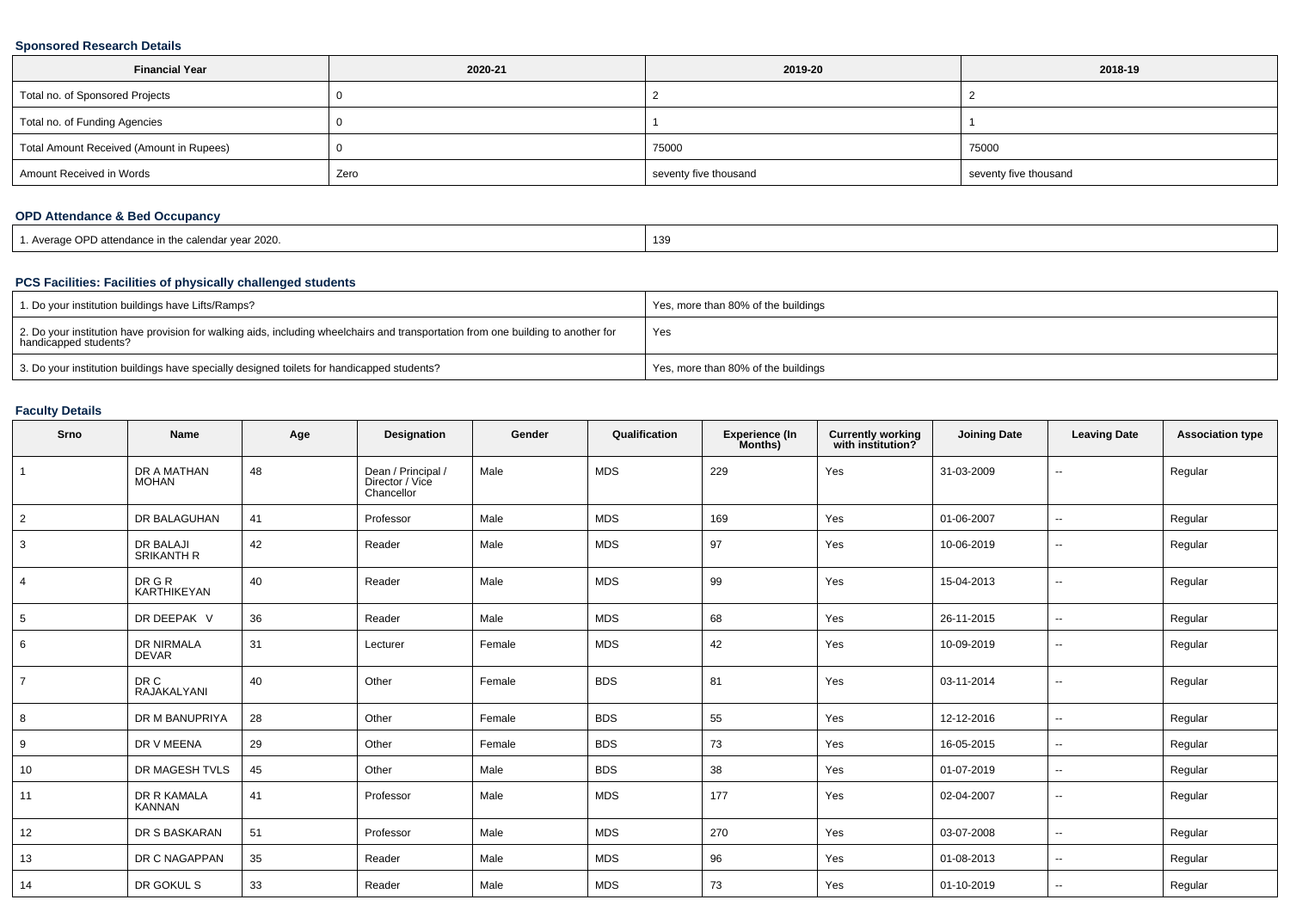### **Sponsored Research Details**

| <b>Financial Year</b>                    | 2020-21 | 2019-20               | 2018-19               |
|------------------------------------------|---------|-----------------------|-----------------------|
| Total no. of Sponsored Projects          |         |                       |                       |
| Total no. of Funding Agencies            |         |                       |                       |
| Total Amount Received (Amount in Rupees) |         | 75000                 | 75000                 |
| Amount Received in Words                 | Zero    | seventy five thousand | seventy five thousand |

# **OPD Attendance & Bed Occupancy**

| Average OPD attendance in the calendar year 2020. | 139 |
|---------------------------------------------------|-----|
|---------------------------------------------------|-----|

### **PCS Facilities: Facilities of physically challenged students**

| 1. Do your institution buildings have Lifts/Ramps?                                                                                                         | Yes, more than 80% of the buildings |
|------------------------------------------------------------------------------------------------------------------------------------------------------------|-------------------------------------|
| 2. Do your institution have provision for walking aids, including wheelchairs and transportation from one building to another for<br>handicapped students? | Yes                                 |
| 3. Do your institution buildings have specially designed toilets for handicapped students?                                                                 | Yes, more than 80% of the buildings |

## **Faculty Details**

| Srno           | Name                                  | Age | Designation                                         | Gender | Qualification | Experience (In<br>Months) | <b>Currently working</b><br>with institution? | <b>Joining Date</b> | <b>Leaving Date</b>      | <b>Association type</b> |
|----------------|---------------------------------------|-----|-----------------------------------------------------|--------|---------------|---------------------------|-----------------------------------------------|---------------------|--------------------------|-------------------------|
|                | DR A MATHAN<br><b>MOHAN</b>           | 48  | Dean / Principal /<br>Director / Vice<br>Chancellor | Male   | <b>MDS</b>    | 229                       | Yes                                           | 31-03-2009          | $\overline{\phantom{a}}$ | Regular                 |
| $\overline{2}$ | DR BALAGUHAN                          | 41  | Professor                                           | Male   | <b>MDS</b>    | 169                       | Yes                                           | 01-06-2007          | $\sim$                   | Regular                 |
| 3              | <b>DR BALAJI</b><br><b>SRIKANTH R</b> | 42  | Reader                                              | Male   | <b>MDS</b>    | 97                        | Yes                                           | 10-06-2019          | $\sim$                   | Regular                 |
| $\overline{4}$ | DR G R<br>KARTHIKEYAN                 | 40  | Reader                                              | Male   | <b>MDS</b>    | 99                        | Yes                                           | 15-04-2013          | $\sim$                   | Regular                 |
| 5              | DR DEEPAK V                           | 36  | Reader                                              | Male   | <b>MDS</b>    | 68                        | Yes                                           | 26-11-2015          | $\sim$                   | Regular                 |
| 6              | DR NIRMALA<br><b>DEVAR</b>            | 31  | Lecturer                                            | Female | <b>MDS</b>    | 42                        | Yes                                           | 10-09-2019          | $\sim$                   | Regular                 |
| $\overline{7}$ | DR C<br>RAJAKALYANI                   | 40  | Other                                               | Female | <b>BDS</b>    | 81                        | Yes                                           | 03-11-2014          | $\overline{\phantom{a}}$ | Regular                 |
| 8              | DR M BANUPRIYA                        | 28  | Other                                               | Female | <b>BDS</b>    | 55                        | Yes                                           | 12-12-2016          | $\sim$                   | Regular                 |
| 9              | DR V MEENA                            | 29  | Other                                               | Female | <b>BDS</b>    | 73                        | Yes                                           | 16-05-2015          | $\sim$                   | Regular                 |
| 10             | DR MAGESH TVLS                        | 45  | Other                                               | Male   | <b>BDS</b>    | 38                        | Yes                                           | 01-07-2019          | $\sim$                   | Regular                 |
| 11             | DR R KAMALA<br><b>KANNAN</b>          | 41  | Professor                                           | Male   | <b>MDS</b>    | 177                       | Yes                                           | 02-04-2007          | $\sim$                   | Regular                 |
| 12             | DR S BASKARAN                         | 51  | Professor                                           | Male   | MDS           | 270                       | Yes                                           | 03-07-2008          | $\sim$                   | Regular                 |
| 13             | DR C NAGAPPAN                         | 35  | Reader                                              | Male   | <b>MDS</b>    | 96                        | Yes                                           | 01-08-2013          | $\sim$                   | Regular                 |
| 14             | DR GOKUL S                            | 33  | Reader                                              | Male   | <b>MDS</b>    | 73                        | Yes                                           | 01-10-2019          | $\sim$                   | Regular                 |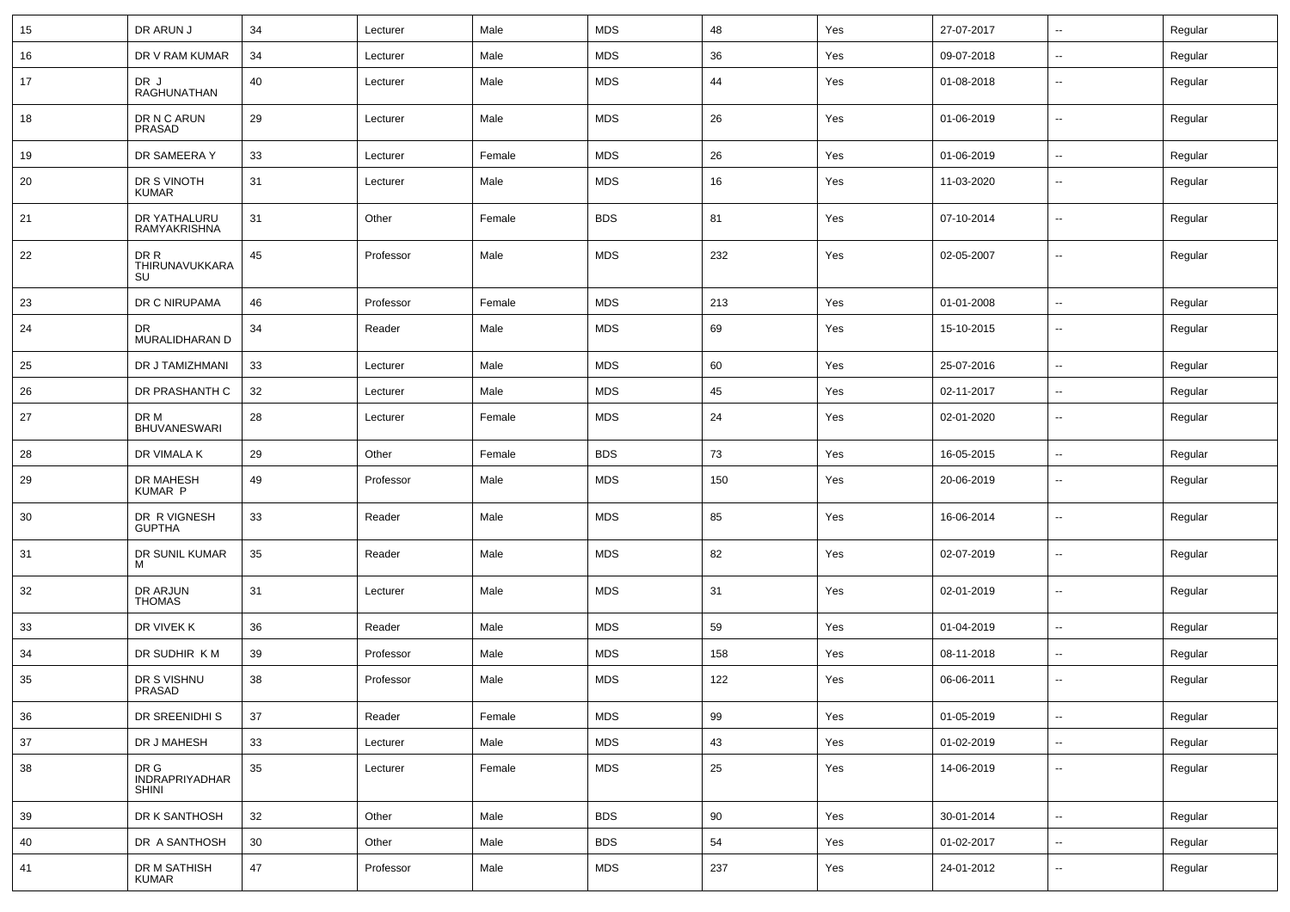| 15 | DR ARUN J                              | 34     | Lecturer  | Male   | <b>MDS</b> | 48  | Yes | 27-07-2017 | $\overline{\phantom{a}}$ | Regular |
|----|----------------------------------------|--------|-----------|--------|------------|-----|-----|------------|--------------------------|---------|
| 16 | DR V RAM KUMAR                         | 34     | Lecturer  | Male   | <b>MDS</b> | 36  | Yes | 09-07-2018 | --                       | Regular |
| 17 | DR J<br>RAGHUNATHAN                    | 40     | Lecturer  | Male   | <b>MDS</b> | 44  | Yes | 01-08-2018 | $\overline{\phantom{a}}$ | Regular |
| 18 | DR N C ARUN<br>PRASAD                  | 29     | Lecturer  | Male   | <b>MDS</b> | 26  | Yes | 01-06-2019 | $\sim$                   | Regular |
| 19 | DR SAMEERA Y                           | 33     | Lecturer  | Female | <b>MDS</b> | 26  | Yes | 01-06-2019 | Ξ.                       | Regular |
| 20 | DR S VINOTH<br>KUMAR                   | 31     | Lecturer  | Male   | <b>MDS</b> | 16  | Yes | 11-03-2020 | $\overline{\phantom{a}}$ | Regular |
| 21 | DR YATHALURU<br>RAMYAKRISHNA           | 31     | Other     | Female | <b>BDS</b> | 81  | Yes | 07-10-2014 | $\overline{\phantom{a}}$ | Regular |
| 22 | DR R<br>THIRUNAVUKKARA<br>SU           | 45     | Professor | Male   | <b>MDS</b> | 232 | Yes | 02-05-2007 | --                       | Regular |
| 23 | DR C NIRUPAMA                          | 46     | Professor | Female | <b>MDS</b> | 213 | Yes | 01-01-2008 | Ξ.                       | Regular |
| 24 | DR.<br>MURALIDHARAN D                  | 34     | Reader    | Male   | <b>MDS</b> | 69  | Yes | 15-10-2015 | $\overline{\phantom{a}}$ | Regular |
| 25 | DR J TAMIZHMANI                        | 33     | Lecturer  | Male   | <b>MDS</b> | 60  | Yes | 25-07-2016 | $\overline{\phantom{a}}$ | Regular |
| 26 | DR PRASHANTH C                         | 32     | Lecturer  | Male   | <b>MDS</b> | 45  | Yes | 02-11-2017 | $\overline{\phantom{a}}$ | Regular |
| 27 | DR M<br><b>BHUVANESWARI</b>            | 28     | Lecturer  | Female | <b>MDS</b> | 24  | Yes | 02-01-2020 | $\sim$                   | Regular |
| 28 | DR VIMALA K                            | 29     | Other     | Female | <b>BDS</b> | 73  | Yes | 16-05-2015 | $\sim$                   | Regular |
| 29 | DR MAHESH<br>KUMAR P                   | 49     | Professor | Male   | <b>MDS</b> | 150 | Yes | 20-06-2019 | $\overline{\phantom{a}}$ | Regular |
| 30 | DR R VIGNESH<br><b>GUPTHA</b>          | 33     | Reader    | Male   | <b>MDS</b> | 85  | Yes | 16-06-2014 | $\overline{\phantom{a}}$ | Regular |
| 31 | DR SUNIL KUMAR<br>м                    | 35     | Reader    | Male   | <b>MDS</b> | 82  | Yes | 02-07-2019 | $\overline{\phantom{a}}$ | Regular |
| 32 | DR ARJUN<br><b>THOMAS</b>              | 31     | Lecturer  | Male   | <b>MDS</b> | 31  | Yes | 02-01-2019 | $\overline{\phantom{a}}$ | Regular |
| 33 | DR VIVEK K                             | 36     | Reader    | Male   | <b>MDS</b> | 59  | Yes | 01-04-2019 | $\overline{\phantom{a}}$ | Regular |
| 34 | DR SUDHIR KM                           | 39     | Professor | Male   | <b>MDS</b> | 158 | Yes | 08-11-2018 | --                       | Regular |
| 35 | DR S VISHNU<br>PRASAD                  | 38     | Professor | Male   | <b>MDS</b> | 122 | Yes | 06-06-2011 | --                       | Regular |
| 36 | DR SREENIDHI S                         | 37     | Reader    | Female | <b>MDS</b> | 99  | Yes | 01-05-2019 | $\overline{\phantom{a}}$ | Regular |
| 37 | DR J MAHESH                            | 33     | Lecturer  | Male   | <b>MDS</b> | 43  | Yes | 01-02-2019 | $\sim$                   | Regular |
| 38 | DR G<br>INDRAPRIYADHAR<br><b>SHINI</b> | 35     | Lecturer  | Female | <b>MDS</b> | 25  | Yes | 14-06-2019 | --                       | Regular |
| 39 | DR K SANTHOSH                          | 32     | Other     | Male   | <b>BDS</b> | 90  | Yes | 30-01-2014 | $\overline{\phantom{a}}$ | Regular |
| 40 | DR A SANTHOSH                          | 30     | Other     | Male   | <b>BDS</b> | 54  | Yes | 01-02-2017 | $\sim$                   | Regular |
| 41 | DR M SATHISH<br><b>KUMAR</b>           | $47\,$ | Professor | Male   | <b>MDS</b> | 237 | Yes | 24-01-2012 | $\overline{\phantom{a}}$ | Regular |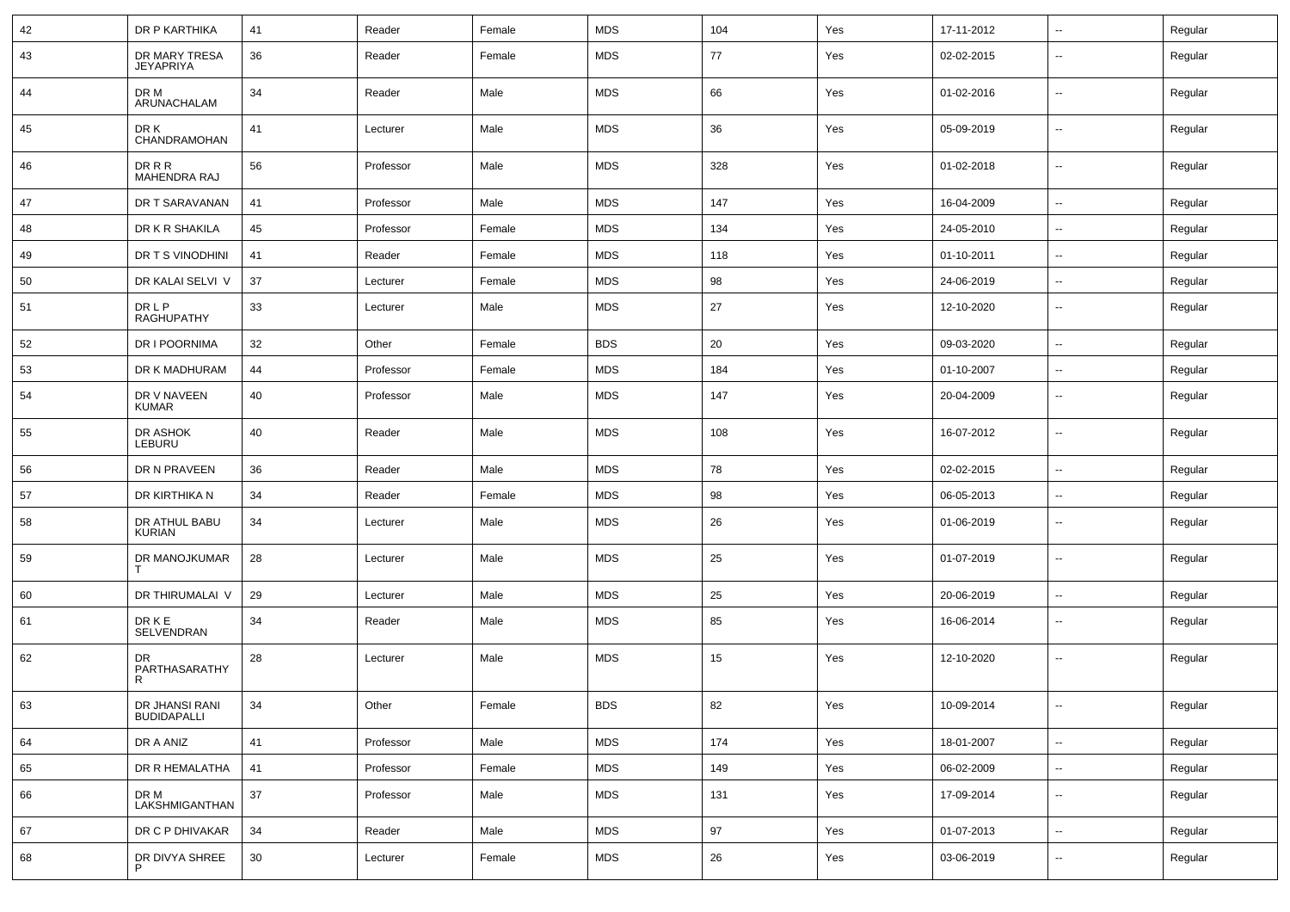| 42 | DR P KARTHIKA                        | 41     | Reader    | Female | <b>MDS</b> | 104 | Yes | 17-11-2012 | ⊷.                       | Regular |
|----|--------------------------------------|--------|-----------|--------|------------|-----|-----|------------|--------------------------|---------|
| 43 | DR MARY TRESA<br><b>JEYAPRIYA</b>    | 36     | Reader    | Female | <b>MDS</b> | 77  | Yes | 02-02-2015 | $\overline{\phantom{a}}$ | Regular |
| 44 | DR M<br>ARUNACHALAM                  | 34     | Reader    | Male   | <b>MDS</b> | 66  | Yes | 01-02-2016 | ⊷.                       | Regular |
| 45 | DR K<br>CHANDRAMOHAN                 | 41     | Lecturer  | Male   | <b>MDS</b> | 36  | Yes | 05-09-2019 | $\overline{\phantom{a}}$ | Regular |
| 46 | DR R R<br>MAHENDRA RAJ               | 56     | Professor | Male   | <b>MDS</b> | 328 | Yes | 01-02-2018 | ⊷.                       | Regular |
| 47 | DR T SARAVANAN                       | 41     | Professor | Male   | <b>MDS</b> | 147 | Yes | 16-04-2009 | Ξ.                       | Regular |
| 48 | DR K R SHAKILA                       | 45     | Professor | Female | <b>MDS</b> | 134 | Yes | 24-05-2010 | ⊷.                       | Regular |
| 49 | DR T S VINODHINI                     | 41     | Reader    | Female | <b>MDS</b> | 118 | Yes | 01-10-2011 | ⊷.                       | Regular |
| 50 | DR KALAI SELVI V                     | 37     | Lecturer  | Female | <b>MDS</b> | 98  | Yes | 24-06-2019 | $\sim$                   | Regular |
| 51 | <b>DRLP</b><br>RAGHUPATHY            | 33     | Lecturer  | Male   | <b>MDS</b> | 27  | Yes | 12-10-2020 | ⊷.                       | Regular |
| 52 | DR I POORNIMA                        | 32     | Other     | Female | <b>BDS</b> | 20  | Yes | 09-03-2020 | $\sim$                   | Regular |
| 53 | DR K MADHURAM                        | 44     | Professor | Female | <b>MDS</b> | 184 | Yes | 01-10-2007 | ⊷.                       | Regular |
| 54 | DR V NAVEEN<br><b>KUMAR</b>          | 40     | Professor | Male   | <b>MDS</b> | 147 | Yes | 20-04-2009 | $\overline{\phantom{a}}$ | Regular |
| 55 | DR ASHOK<br>LEBURU                   | 40     | Reader    | Male   | <b>MDS</b> | 108 | Yes | 16-07-2012 | $\sim$                   | Regular |
| 56 | DR N PRAVEEN                         | 36     | Reader    | Male   | <b>MDS</b> | 78  | Yes | 02-02-2015 | $\overline{\phantom{a}}$ | Regular |
| 57 | DR KIRTHIKA N                        | 34     | Reader    | Female | <b>MDS</b> | 98  | Yes | 06-05-2013 | $\overline{\phantom{a}}$ | Regular |
| 58 | DR ATHUL BABU<br>KURIAN              | 34     | Lecturer  | Male   | <b>MDS</b> | 26  | Yes | 01-06-2019 | $\overline{\phantom{a}}$ | Regular |
| 59 | DR MANOJKUMAR<br>Т                   | 28     | Lecturer  | Male   | <b>MDS</b> | 25  | Yes | 01-07-2019 | --                       | Regular |
| 60 | DR THIRUMALAI V                      | 29     | Lecturer  | Male   | <b>MDS</b> | 25  | Yes | 20-06-2019 | $\overline{\phantom{a}}$ | Regular |
| 61 | <b>DRKE</b><br>SELVENDRAN            | 34     | Reader    | Male   | <b>MDS</b> | 85  | Yes | 16-06-2014 | $\mathbf{u}$             | Regular |
| 62 | DR<br>PARTHASARATHY<br>R             | 28     | Lecturer  | Male   | <b>MDS</b> | 15  | Yes | 12-10-2020 | $\overline{\phantom{a}}$ | Regular |
| 63 | DR JHANSI RANI<br><b>BUDIDAPALLI</b> | 34     | Other     | Female | <b>BDS</b> | 82  | Yes | 10-09-2014 |                          | Regular |
| 64 | DR A ANIZ                            | 41     | Professor | Male   | <b>MDS</b> | 174 | Yes | 18-01-2007 | ш.                       | Regular |
| 65 | DR R HEMALATHA                       | 41     | Professor | Female | <b>MDS</b> | 149 | Yes | 06-02-2009 | $\sim$                   | Regular |
| 66 | DR M<br>LAKSHMIGANTHAN               | $37\,$ | Professor | Male   | <b>MDS</b> | 131 | Yes | 17-09-2014 | $\sim$                   | Regular |
| 67 | DR C P DHIVAKAR                      | 34     | Reader    | Male   | <b>MDS</b> | 97  | Yes | 01-07-2013 | $\sim$                   | Regular |
| 68 | DR DIVYA SHREE<br>P                  | 30     | Lecturer  | Female | <b>MDS</b> | 26  | Yes | 03-06-2019 | −−                       | Regular |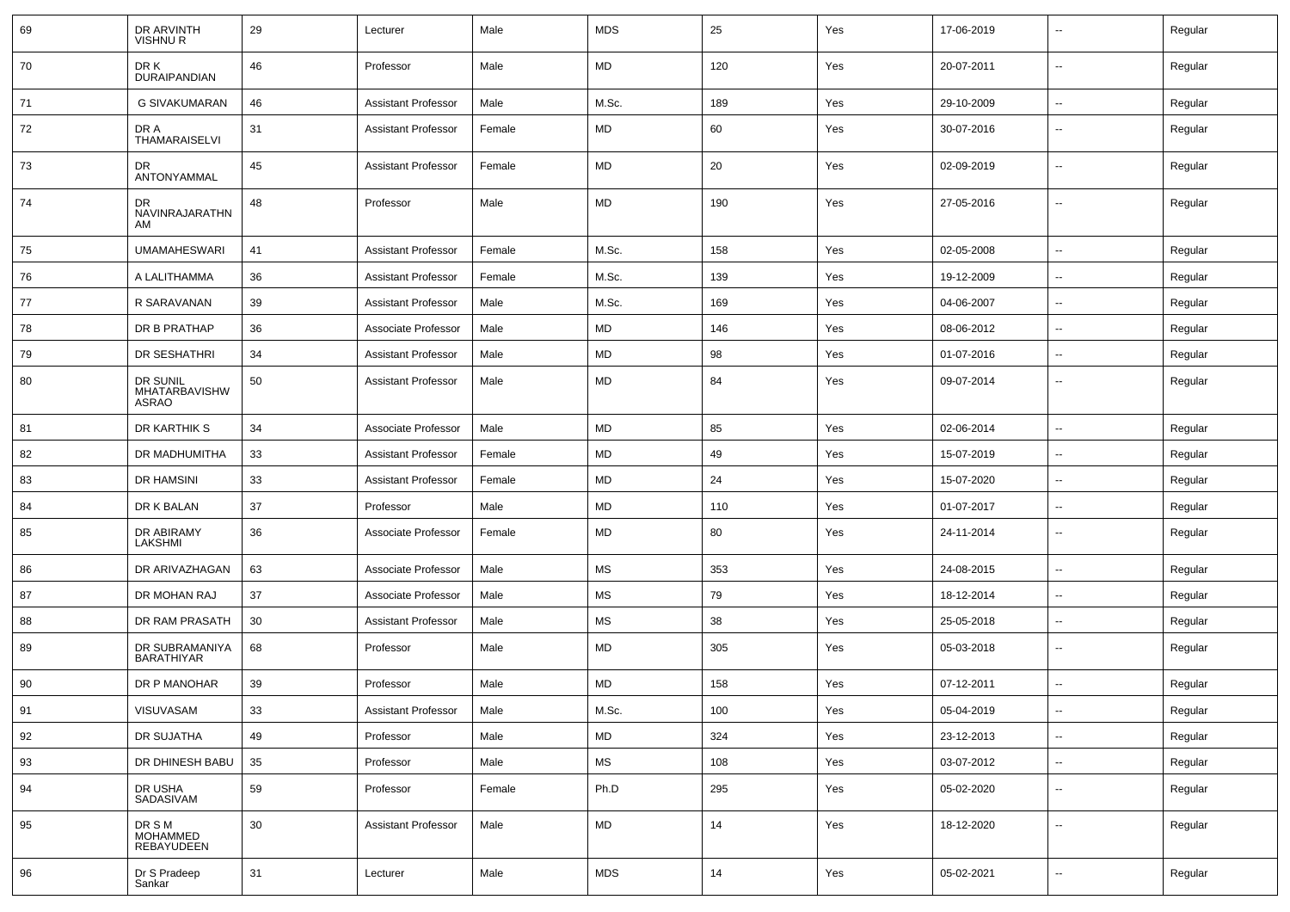| 69 | DR ARVINTH<br><b>VISHNUR</b>              | 29 | Lecturer                   | Male   | <b>MDS</b>           | 25  | Yes | 17-06-2019 | $\overline{\phantom{a}}$ | Regular |
|----|-------------------------------------------|----|----------------------------|--------|----------------------|-----|-----|------------|--------------------------|---------|
| 70 | DR K<br><b>DURAIPANDIAN</b>               | 46 | Professor                  | Male   | MD                   | 120 | Yes | 20-07-2011 | $\overline{\phantom{a}}$ | Regular |
| 71 | <b>G SIVAKUMARAN</b>                      | 46 | <b>Assistant Professor</b> | Male   | M.Sc.                | 189 | Yes | 29-10-2009 | $\overline{\phantom{a}}$ | Regular |
| 72 | DR A<br>THAMARAISELVI                     | 31 | <b>Assistant Professor</b> | Female | MD                   | 60  | Yes | 30-07-2016 | $\overline{\phantom{a}}$ | Regular |
| 73 | DR<br>ANTONYAMMAL                         | 45 | <b>Assistant Professor</b> | Female | MD                   | 20  | Yes | 02-09-2019 | $\overline{\phantom{a}}$ | Regular |
| 74 | DR<br>NAVINRAJARATHN<br>AM                | 48 | Professor                  | Male   | MD                   | 190 | Yes | 27-05-2016 | $\overline{\phantom{a}}$ | Regular |
| 75 | <b>UMAMAHESWARI</b>                       | 41 | <b>Assistant Professor</b> | Female | M.Sc.                | 158 | Yes | 02-05-2008 | $\sim$                   | Regular |
| 76 | A LALITHAMMA                              | 36 | <b>Assistant Professor</b> | Female | M.Sc.                | 139 | Yes | 19-12-2009 | $\sim$                   | Regular |
| 77 | R SARAVANAN                               | 39 | <b>Assistant Professor</b> | Male   | M.Sc.                | 169 | Yes | 04-06-2007 | $\overline{\phantom{a}}$ | Regular |
| 78 | DR B PRATHAP                              | 36 | Associate Professor        | Male   | MD                   | 146 | Yes | 08-06-2012 | $\overline{a}$           | Regular |
| 79 | DR SESHATHRI                              | 34 | <b>Assistant Professor</b> | Male   | <b>MD</b>            | 98  | Yes | 01-07-2016 | $\overline{\phantom{a}}$ | Regular |
| 80 | DR SUNIL<br><b>MHATARBAVISHW</b><br>ASRAO | 50 | <b>Assistant Professor</b> | Male   | MD                   | 84  | Yes | 09-07-2014 | $\overline{\phantom{a}}$ | Regular |
| 81 | DR KARTHIK S                              | 34 | Associate Professor        | Male   | <b>MD</b>            | 85  | Yes | 02-06-2014 | $\overline{\phantom{a}}$ | Regular |
| 82 | DR MADHUMITHA                             | 33 | <b>Assistant Professor</b> | Female | MD                   | 49  | Yes | 15-07-2019 | $\sim$                   | Regular |
| 83 | <b>DR HAMSINI</b>                         | 33 | <b>Assistant Professor</b> | Female | MD                   | 24  | Yes | 15-07-2020 | $\sim$                   | Regular |
| 84 | DR K BALAN                                | 37 | Professor                  | Male   | MD                   | 110 | Yes | 01-07-2017 | $\sim$                   | Regular |
| 85 | DR ABIRAMY<br><b>LAKSHMI</b>              | 36 | Associate Professor        | Female | MD                   | 80  | Yes | 24-11-2014 | $\overline{\phantom{a}}$ | Regular |
| 86 | DR ARIVAZHAGAN                            | 63 | Associate Professor        | Male   | MS                   | 353 | Yes | 24-08-2015 | $\overline{\phantom{a}}$ | Regular |
| 87 | DR MOHAN RAJ                              | 37 | Associate Professor        | Male   | MS                   | 79  | Yes | 18-12-2014 | $\overline{\phantom{a}}$ | Regular |
| 88 | DR RAM PRASATH                            | 30 | <b>Assistant Professor</b> | Male   | <b>MS</b>            | 38  | Yes | 25-05-2018 | $\overline{\phantom{a}}$ | Regular |
| 89 | DR SUBRAMANIYA<br><b>BARATHIYAR</b>       | 68 | Professor                  | Male   | MD                   | 305 | Yes | 05-03-2018 | $\overline{\phantom{a}}$ | Regular |
| 90 | DR P MANOHAR                              | 39 | Professor                  | Male   | <b>MD</b>            | 158 | Yes | 07-12-2011 | $\overline{\phantom{a}}$ | Regular |
| 91 | VISUVASAM                                 | 33 | Assistant Professor        | Male   | M.Sc.                | 100 | Yes | 05-04-2019 | $\overline{\phantom{a}}$ | Regular |
| 92 | DR SUJATHA                                | 49 | Professor                  | Male   | MD                   | 324 | Yes | 23-12-2013 | $\sim$                   | Regular |
| 93 | DR DHINESH BABU                           | 35 | Professor                  | Male   | $\mathsf{MS}\xspace$ | 108 | Yes | 03-07-2012 | $\overline{\phantom{a}}$ | Regular |
| 94 | DR USHA<br>SADASIVAM                      | 59 | Professor                  | Female | Ph.D                 | 295 | Yes | 05-02-2020 | $\overline{\phantom{a}}$ | Regular |
| 95 | DR S M<br>MOHAMMED<br>REBAYUDEEN          | 30 | <b>Assistant Professor</b> | Male   | <b>MD</b>            | 14  | Yes | 18-12-2020 | $\overline{\phantom{a}}$ | Regular |
| 96 | Dr S Pradeep<br>Sankar                    | 31 | Lecturer                   | Male   | <b>MDS</b>           | 14  | Yes | 05-02-2021 | $\overline{\phantom{a}}$ | Regular |